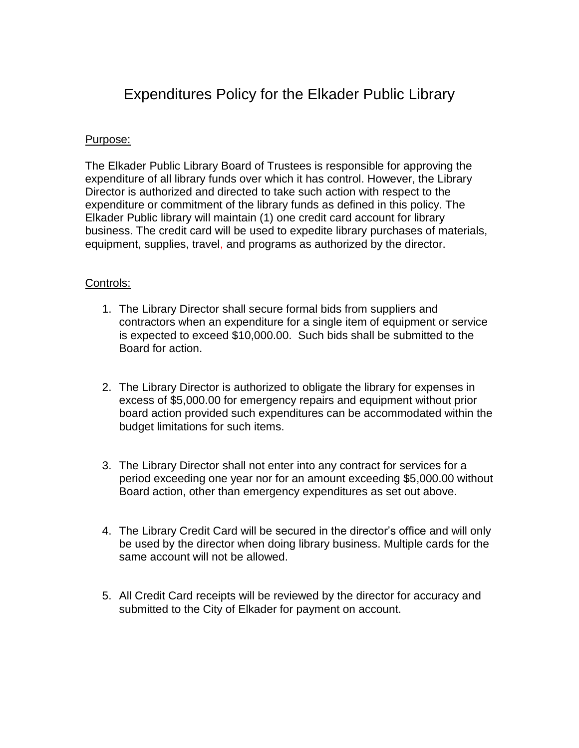# Expenditures Policy for the Elkader Public Library

## Purpose:

The Elkader Public Library Board of Trustees is responsible for approving the expenditure of all library funds over which it has control. However, the Library Director is authorized and directed to take such action with respect to the expenditure or commitment of the library funds as defined in this policy. The Elkader Public library will maintain (1) one credit card account for library business. The credit card will be used to expedite library purchases of materials, equipment, supplies, travel, and programs as authorized by the director.

## Controls:

- 1. The Library Director shall secure formal bids from suppliers and contractors when an expenditure for a single item of equipment or service is expected to exceed \$10,000.00. Such bids shall be submitted to the Board for action.
- 2. The Library Director is authorized to obligate the library for expenses in excess of \$5,000.00 for emergency repairs and equipment without prior board action provided such expenditures can be accommodated within the budget limitations for such items.
- 3. The Library Director shall not enter into any contract for services for a period exceeding one year nor for an amount exceeding \$5,000.00 without Board action, other than emergency expenditures as set out above.
- 4. The Library Credit Card will be secured in the director's office and will only be used by the director when doing library business. Multiple cards for the same account will not be allowed.
- 5. All Credit Card receipts will be reviewed by the director for accuracy and submitted to the City of Elkader for payment on account.